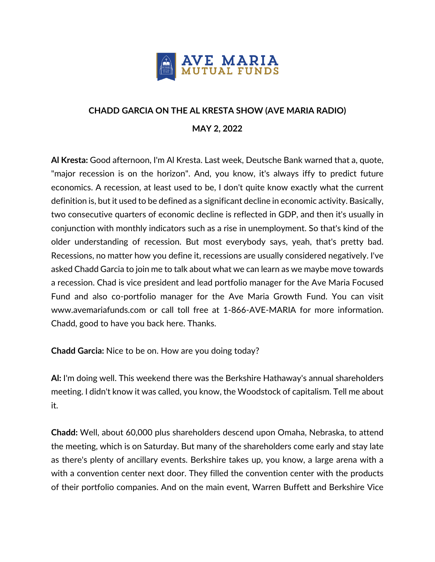

## **CHADD GARCIA ON THE AL KRESTA SHOW (AVE MARIA RADIO) MAY 2, 2022**

**Al Kresta:** Good afternoon, I'm Al Kresta. Last week, Deutsche Bank warned that a, quote, "major recession is on the horizon". And, you know, it's always iffy to predict future economics. A recession, at least used to be, I don't quite know exactly what the current definition is, but it used to be defined as a significant decline in economic activity. Basically, two consecutive quarters of economic decline is reflected in GDP, and then it's usually in conjunction with monthly indicators such as a rise in unemployment. So that's kind of the older understanding of recession. But most everybody says, yeah, that's pretty bad. Recessions, no matter how you define it, recessions are usually considered negatively. I've asked Chadd Garcia to join me to talk about what we can learn as we maybe move towards a recession. Chad is vice president and lead portfolio manager for the Ave Maria Focused Fund and also co-portfolio manager for the Ave Maria Growth Fund. You can visit www.avemariafunds.com or call toll free at 1-866-AVE-MARIA for more information. Chadd, good to have you back here. Thanks.

**Chadd Garcia:** Nice to be on. How are you doing today?

**Al:** I'm doing well. This weekend there was the Berkshire Hathaway's annual shareholders meeting. I didn't know it was called, you know, the Woodstock of capitalism. Tell me about it.

**Chadd:** Well, about 60,000 plus shareholders descend upon Omaha, Nebraska, to attend the meeting, which is on Saturday. But many of the shareholders come early and stay late as there's plenty of ancillary events. Berkshire takes up, you know, a large arena with a with a convention center next door. They filled the convention center with the products of their portfolio companies. And on the main event, Warren Buffett and Berkshire Vice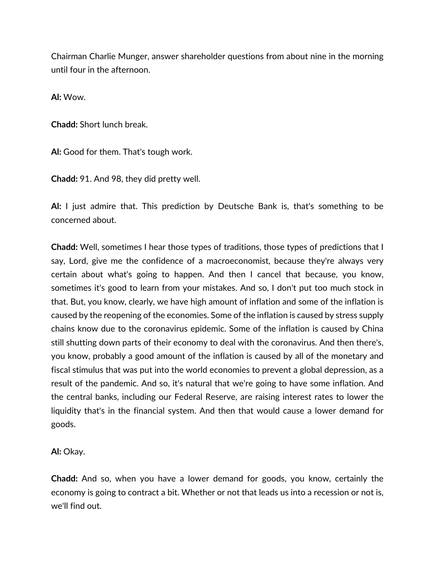Chairman Charlie Munger, answer shareholder questions from about nine in the morning until four in the afternoon.

**Al:** Wow.

**Chadd:** Short lunch break.

**Al:** Good for them. That's tough work.

**Chadd:** 91. And 98, they did pretty well.

**Al:** I just admire that. This prediction by Deutsche Bank is, that's something to be concerned about.

**Chadd:** Well, sometimes I hear those types of traditions, those types of predictions that I say, Lord, give me the confidence of a macroeconomist, because they're always very certain about what's going to happen. And then I cancel that because, you know, sometimes it's good to learn from your mistakes. And so, I don't put too much stock in that. But, you know, clearly, we have high amount of inflation and some of the inflation is caused by the reopening of the economies. Some of the inflation is caused by stress supply chains know due to the coronavirus epidemic. Some of the inflation is caused by China still shutting down parts of their economy to deal with the coronavirus. And then there's, you know, probably a good amount of the inflation is caused by all of the monetary and fiscal stimulus that was put into the world economies to prevent a global depression, as a result of the pandemic. And so, it's natural that we're going to have some inflation. And the central banks, including our Federal Reserve, are raising interest rates to lower the liquidity that's in the financial system. And then that would cause a lower demand for goods.

**Al:** Okay.

**Chadd:** And so, when you have a lower demand for goods, you know, certainly the economy is going to contract a bit. Whether or not that leads us into a recession or not is, we'll find out.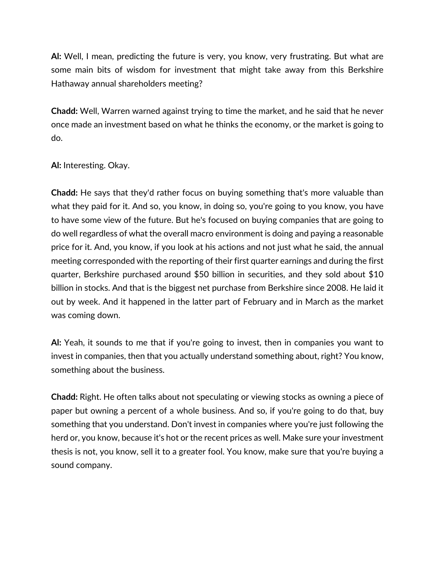**Al:** Well, I mean, predicting the future is very, you know, very frustrating. But what are some main bits of wisdom for investment that might take away from this Berkshire Hathaway annual shareholders meeting?

**Chadd:** Well, Warren warned against trying to time the market, and he said that he never once made an investment based on what he thinks the economy, or the market is going to do.

**Al:** Interesting. Okay.

**Chadd:** He says that they'd rather focus on buying something that's more valuable than what they paid for it. And so, you know, in doing so, you're going to you know, you have to have some view of the future. But he's focused on buying companies that are going to do well regardless of what the overall macro environment is doing and paying a reasonable price for it. And, you know, if you look at his actions and not just what he said, the annual meeting corresponded with the reporting of their first quarter earnings and during the first quarter, Berkshire purchased around \$50 billion in securities, and they sold about \$10 billion in stocks. And that is the biggest net purchase from Berkshire since 2008. He laid it out by week. And it happened in the latter part of February and in March as the market was coming down.

**Al:** Yeah, it sounds to me that if you're going to invest, then in companies you want to invest in companies, then that you actually understand something about, right? You know, something about the business.

**Chadd:** Right. He often talks about not speculating or viewing stocks as owning a piece of paper but owning a percent of a whole business. And so, if you're going to do that, buy something that you understand. Don't invest in companies where you're just following the herd or, you know, because it's hot or the recent prices as well. Make sure your investment thesis is not, you know, sell it to a greater fool. You know, make sure that you're buying a sound company.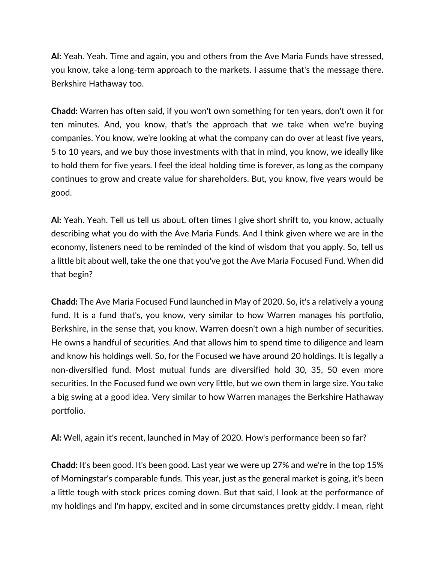**Al:** Yeah. Yeah. Time and again, you and others from the Ave Maria Funds have stressed, you know, take a long-term approach to the markets. I assume that's the message there. Berkshire Hathaway too.

**Chadd:** Warren has often said, if you won't own something for ten years, don't own it for ten minutes. And, you know, that's the approach that we take when we're buying companies. You know, we're looking at what the company can do over at least five years, 5 to 10 years, and we buy those investments with that in mind, you know, we ideally like to hold them for five years. I feel the ideal holding time is forever, as long as the company continues to grow and create value for shareholders. But, you know, five years would be good.

**Al:** Yeah. Yeah. Tell us tell us about, often times I give short shrift to, you know, actually describing what you do with the Ave Maria Funds. And I think given where we are in the economy, listeners need to be reminded of the kind of wisdom that you apply. So, tell us a little bit about well, take the one that you've got the Ave Maria Focused Fund. When did that begin?

**Chadd:** The Ave Maria Focused Fund launched in May of 2020. So, it's a relatively a young fund. It is a fund that's, you know, very similar to how Warren manages his portfolio, Berkshire, in the sense that, you know, Warren doesn't own a high number of securities. He owns a handful of securities. And that allows him to spend time to diligence and learn and know his holdings well. So, for the Focused we have around 20 holdings. It is legally a non-diversified fund. Most mutual funds are diversified hold 30, 35, 50 even more securities. In the Focused fund we own very little, but we own them in large size. You take a big swing at a good idea. Very similar to how Warren manages the Berkshire Hathaway portfolio.

**Al:** Well, again it's recent, launched in May of 2020. How's performance been so far?

**Chadd:** It's been good. It's been good. Last year we were up 27% and we're in the top 15% of Morningstar's comparable funds. This year, just as the general market is going, it's been a little tough with stock prices coming down. But that said, I look at the performance of my holdings and I'm happy, excited and in some circumstances pretty giddy. I mean, right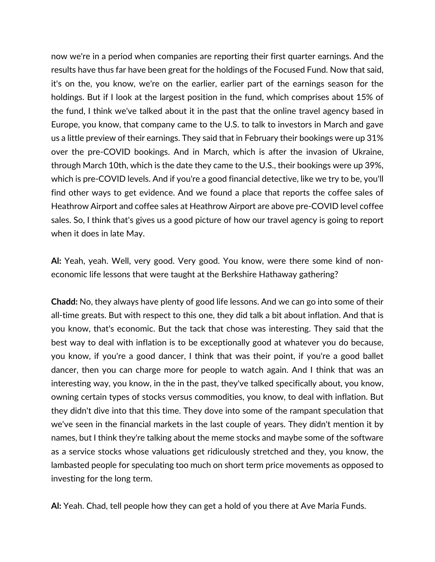now we're in a period when companies are reporting their first quarter earnings. And the results have thus far have been great for the holdings of the Focused Fund. Now that said, it's on the, you know, we're on the earlier, earlier part of the earnings season for the holdings. But if I look at the largest position in the fund, which comprises about 15% of the fund, I think we've talked about it in the past that the online travel agency based in Europe, you know, that company came to the U.S. to talk to investors in March and gave us a little preview of their earnings. They said that in February their bookings were up 31% over the pre-COVID bookings. And in March, which is after the invasion of Ukraine, through March 10th, which is the date they came to the U.S., their bookings were up 39%, which is pre-COVID levels. And if you're a good financial detective, like we try to be, you'll find other ways to get evidence. And we found a place that reports the coffee sales of Heathrow Airport and coffee sales at Heathrow Airport are above pre-COVID level coffee sales. So, I think that's gives us a good picture of how our travel agency is going to report when it does in late May.

**Al:** Yeah, yeah. Well, very good. Very good. You know, were there some kind of noneconomic life lessons that were taught at the Berkshire Hathaway gathering?

**Chadd:** No, they always have plenty of good life lessons. And we can go into some of their all-time greats. But with respect to this one, they did talk a bit about inflation. And that is you know, that's economic. But the tack that chose was interesting. They said that the best way to deal with inflation is to be exceptionally good at whatever you do because, you know, if you're a good dancer, I think that was their point, if you're a good ballet dancer, then you can charge more for people to watch again. And I think that was an interesting way, you know, in the in the past, they've talked specifically about, you know, owning certain types of stocks versus commodities, you know, to deal with inflation. But they didn't dive into that this time. They dove into some of the rampant speculation that we've seen in the financial markets in the last couple of years. They didn't mention it by names, but I think they're talking about the meme stocks and maybe some of the software as a service stocks whose valuations get ridiculously stretched and they, you know, the lambasted people for speculating too much on short term price movements as opposed to investing for the long term.

**Al:** Yeah. Chad, tell people how they can get a hold of you there at Ave Maria Funds.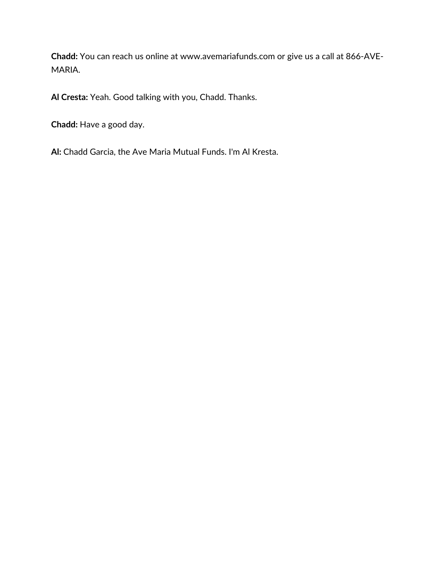**Chadd:** You can reach us online at www.avemariafunds.com or give us a call at 866-AVE-MARIA.

**Al Cresta:** Yeah. Good talking with you, Chadd. Thanks.

**Chadd:** Have a good day.

**Al:** Chadd Garcia, the Ave Maria Mutual Funds. I'm Al Kresta.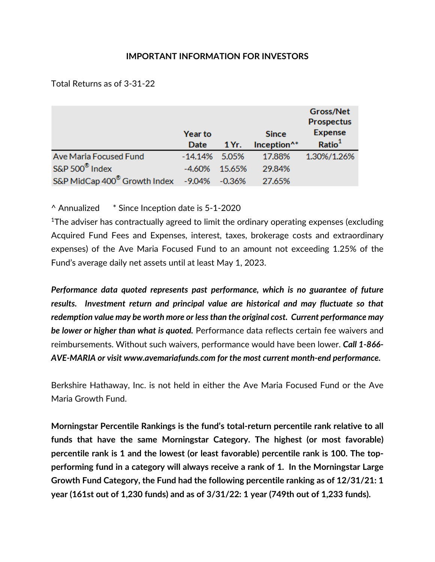## **IMPORTANT INFORMATION FOR INVESTORS**

Total Returns as of 3-31-22

|                                                        | <b>Year to</b> |        | <b>Since</b>            | Gross/Net<br><b>Prospectus</b><br><b>Expense</b> |
|--------------------------------------------------------|----------------|--------|-------------------------|--------------------------------------------------|
|                                                        | Date           | 1 Yr.  | Inception <sup>^*</sup> | Ratio <sup>1</sup>                               |
| Ave Maria Focused Fund                                 | $-14.14%$      | -5.05% | 17.88%                  | 1.30%/1.26%                                      |
| S&P 500 <sup>®</sup> Index                             | $-4.60\%$      | 15.65% | 29.84%                  |                                                  |
| S&P MidCap 400 <sup>®</sup> Growth Index -9.04% -0.36% |                |        | 27.65%                  |                                                  |

^ Annualized \* Since Inception date is 5-1-2020

<sup>1</sup>The adviser has contractually agreed to limit the ordinary operating expenses (excluding Acquired Fund Fees and Expenses, interest, taxes, brokerage costs and extraordinary expenses) of the Ave Maria Focused Fund to an amount not exceeding 1.25% of the Fund's average daily net assets until at least May 1, 2023.

*Performance data quoted represents past performance, which is no guarantee of future results. Investment return and principal value are historical and may fluctuate so that redemption value may be worth more or less than the original cost. Current performance may be lower or higher than what is quoted.* Performance data reflects certain fee waivers and reimbursements. Without such waivers, performance would have been lower. *Call 1-866- AVE-MARIA or visit www.avemariafunds.com for the most current month-end performance.*

Berkshire Hathaway, Inc. is not held in either the Ave Maria Focused Fund or the Ave Maria Growth Fund.

**Morningstar Percentile Rankings is the fund's total-return percentile rank relative to all funds that have the same Morningstar Category. The highest (or most favorable) percentile rank is 1 and the lowest (or least favorable) percentile rank is 100. The topperforming fund in a category will always receive a rank of 1. In the Morningstar Large Growth Fund Category, the Fund had the following percentile ranking as of 12/31/21: 1 year (161st out of 1,230 funds) and as of 3/31/22: 1 year (749th out of 1,233 funds).**